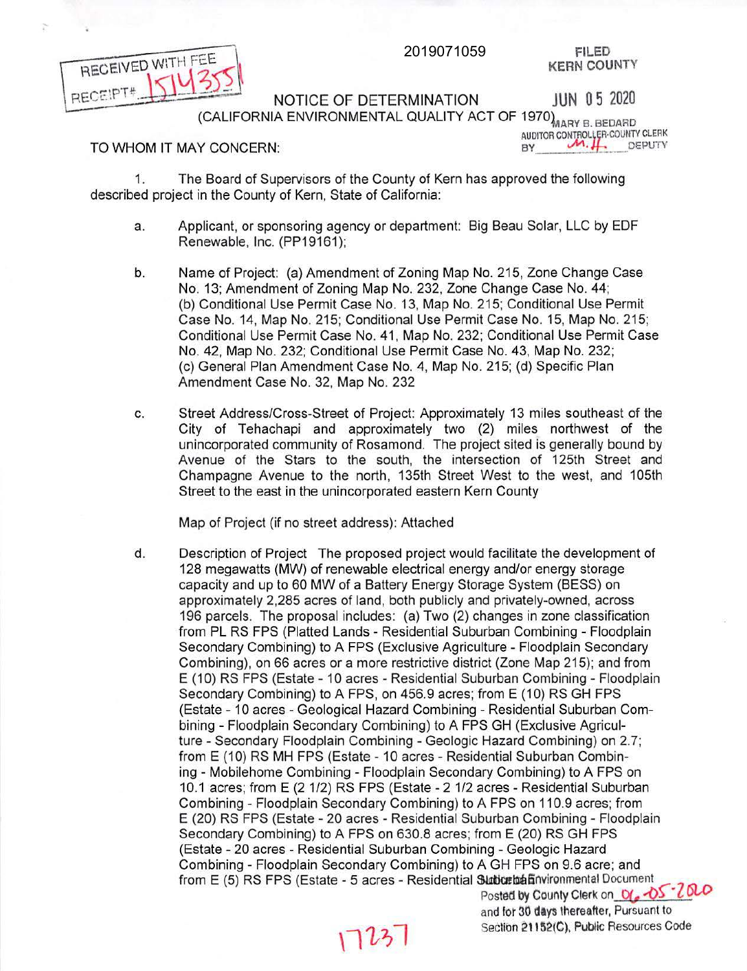FILED **KERN** COUNTY



NOTICE OF DETERMINATION JUN 0 5 2020 (CALIFORNIA ENVIRONMENTAL QUALITY ACT OF 1970) MARY B. BEDARD

AUDITOR CONTROLLER-COUNTY CLERK

<u>2010</u>

and for 30 days thereafter, Pursuant to Section 211S2(C), Public Resources Code

## TO WHOM IT MAY CONCERN: TO WHOM IT ASSESSED.

1. The Board of Supervisors of the County of Kern has approved the following described project in the County of Kern, State of California:

- a. Applicant, or sponsoring agency or department: Big Beau Solar, LLC by EDF Renewable, Inc. (PP19161);
- b. Name of Project: (a) Amendment of Zoning Map No. 215, Zone Change Case No. 13; Amendment of Zoning Map No. 232, Zone Change Case No. 44; (b) Conditional Use Permit Case No. 13, Map No. 215; Conditional Use Permit Case No. 14, Map No. 215; Conditional Use Permit Case No. 15, Map No. 215; Conditional Use Permit Case No. 41 , Map No. 232; Conditional Use Permit Case No. 42, Map No. 232; Conditional Use Permit Case No. 43, Map No. 232; (c) General Plan Amendment Case No. 4, Map No. 215; (d) Specific Plan Amendment Case No. 32, Map No. 232
- c. Street Address/Cross-Street of Project: Approximately 13 miles southeast of the City of Tehachapi and approximately two (2) miles northwest of the unincorporated community of Rosamond. The project sited is generally bound by Avenue of the Stars to the south, the intersection of 125th Street and Champagne Avenue to the north, 135th Street West to the west, and 105th Street to the east in the unincorporated eastern Kern County

Map of Project (if no street address): Attached

d. Description of Project The proposed project would facilitate the development of 128 megawatts (MW) of renewable electrical energy and/or energy storage capacity and up to 60 MW of a Battery Energy Storage System (BESS) on approximately 2,285 acres of land, both publicly and privately-owned, across 196 parcels. The proposal includes: (a) Two (2) changes in zone classification from PL RS FPS (Platted Lands - Residential Suburban Combining - Floodplain Secondary Combining) to A FPS (Exclusive Agriculture - Floodplain Secondary Combining), on 66 acres or a more restrictive district (Zone Map 215); and from E (10) RS FPS (Estate - 10 acres - Residential Suburban Combining - Floodplain Secondary Combining) to A FPS, on 456.9 acres; from E (10) RS GH FPS (Estate - 10 acres - Geological Hazard Combining - Residential Suburban Combining - Floodplain Secondary Combining) to A FPS GH (Exclusive Agriculture - Secondary Floodplain Combining - Geologic Hazard Combining) on 2.7; from E (10) RS MH FPS (Estate - 10 acres - Residential Suburban Combining - Mobilehome Combining - Floodplain Secondary Combining) to A FPS on 10.1 acres; from E (2 1/2) RS FPS (Estate - 2 1/2 acres - Residential Suburban Combining - Floodplain Secondary Combining) to A FPS on 110.9 acres; from E (20) RS FPS (Estate - 20 acres - Residential Suburban Combining - Floodplain Secondary Combining) to A FPS on 630.8 acres; from E (20) RS GH FPS (Estate - 20 acres - Residential Suburban Combining - Geologic Hazard Combining - Floodplain Secondary Combining) to A GH FPS on 9.6 acre; and from E (5) RS FPS (Estate - 5 acres - Residential Slaticrité finvironmental Document Posted by County Clerk on  $O($  -  $O5$   $200$ 

 $1725$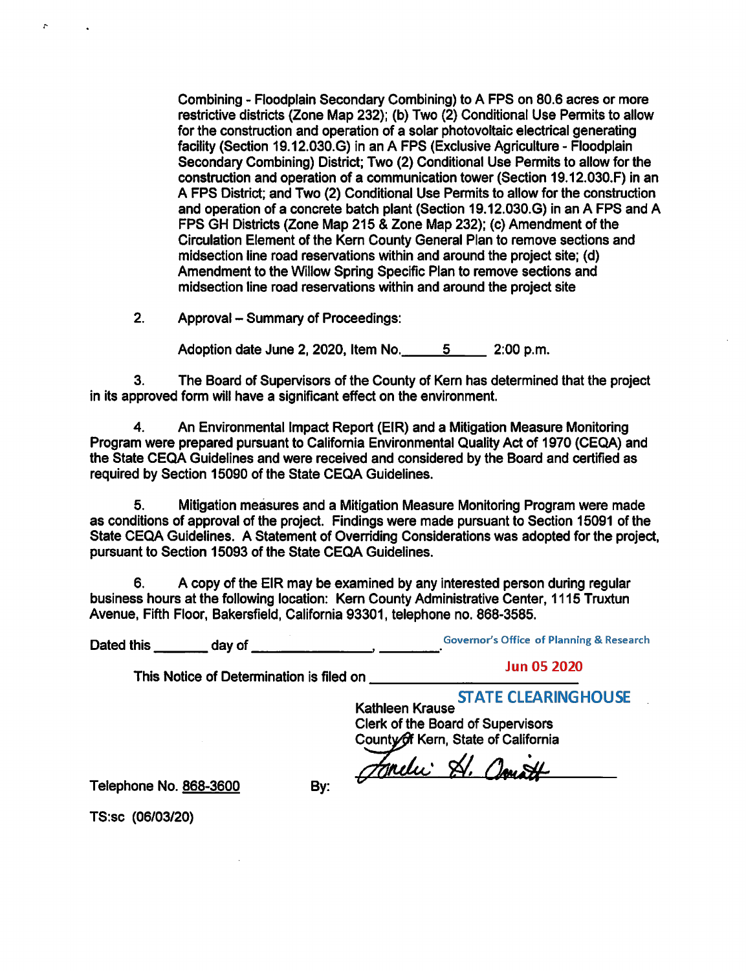Combining - Floodplain Secondary Combining) to A FPS on 80.6 acres or more restrictive districts (Zone Map 232); (b) Two (2) Conditional Use Permits to allow for the construction and operation of a solar photovoltaic electrical generating facility (Section 19.12.030.G) in an A FPS (Exclusive Agriculture - Floodplain Secondary Combining) District; Two (2) Conditional Use Permits to allow for the construction and operation of a communication tower (Section 19.12.030.F) in an A FPS District; and Two (2) Conditional Use Permits to allow for the construction and operation of a concrete batch plant (Section 19.12.030.G) in an A FPS and A FPS GH Districts (Zone Map 215 & Zone Map 232); (c) Amendment of the Circulation Element of the Kern County General Plan to remove sections and midsection line road reservations within and around the project site; (d) Amendment to the Willow Spring Specific Plan to remove sections and midsection line road reservations within and around the project site

2. Approval – Summary of Proceedings:

Adoption date June 2, 2020, Item No. \_\_\_\_\_ 5 \_\_\_\_\_ 2:00 p.m.

3. The Board of Supervisors of the County of Kern has determined that the project in its approved form will have a significant effect on the environment.

4. An Environmental Impact Report (EIR) and a Mitigation Measure Monitoring Program were prepared pursuant to California Environmental Quality Act of 1970 (CEQA) and the State CEQA Guidelines and were received and considered by the Board and certified as required by Section 15090 of the State CEQA Guidelines.

5. Mitigation measures and a Mitigation Measure Monitoring Program were made as conditions of approval of the project. Findings were made pursuant to Section 15091 of the State CEQA Guidelines. A Statement of Overriding Considerations was adopted for the project, pursuant to Section 15093 of the State CEQA Guidelines.

6. A copy of the EIR may be examined by any interested person during regular business hours at the following location: Kern County Administrative Center, 1115 Truxtun Avenue, Fifth Floor, Bakersfield, California 93301, telephone no. 868-3585.

Dated this \_\_\_ day of \_\_\_\_\_\_ \_, \_\_\_ \_

This Notice of Determination is filed on

Jun 05 2020

Kathleen Krause Clerk of the Board of Supervisors County of Kern, State of California

Jondi St. Court

Telephone No. 868-3600

By:

TS:sc (06/03/20)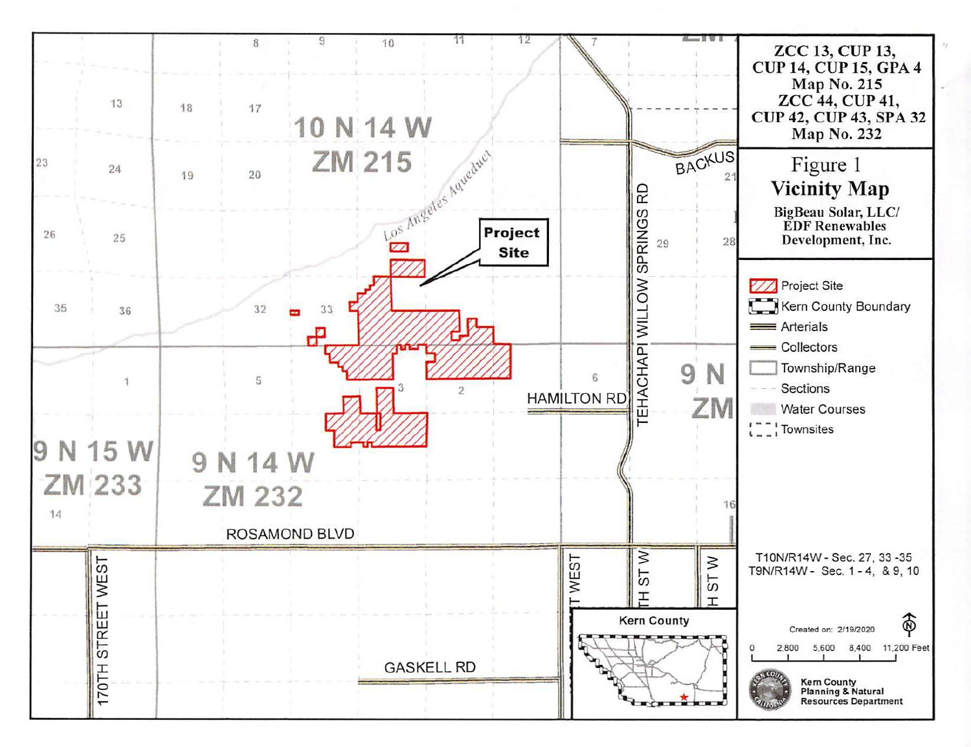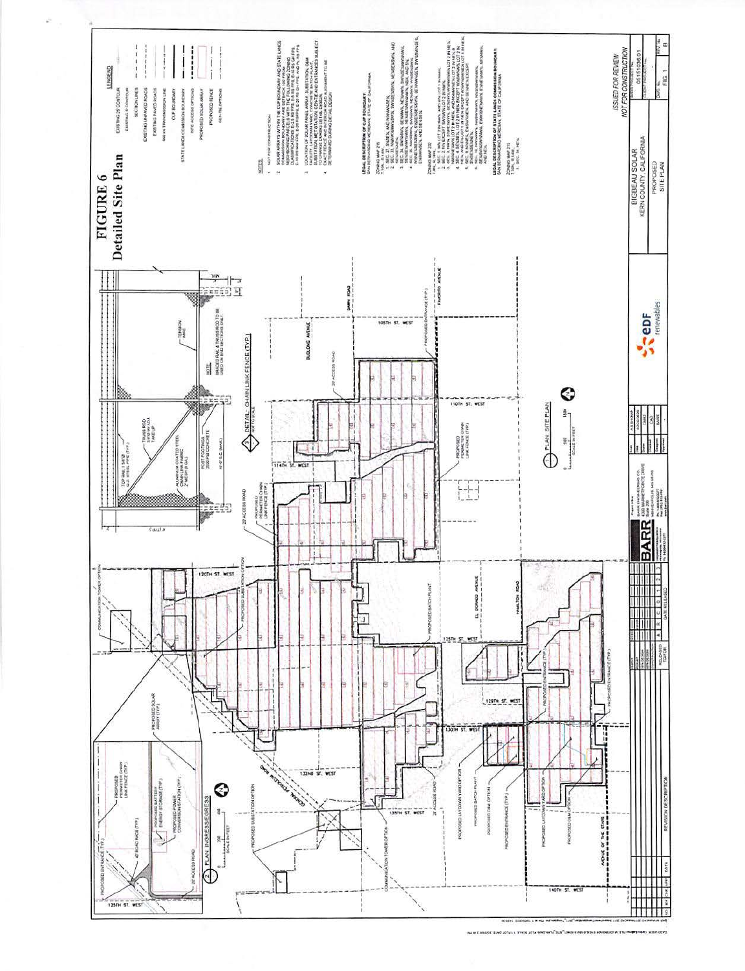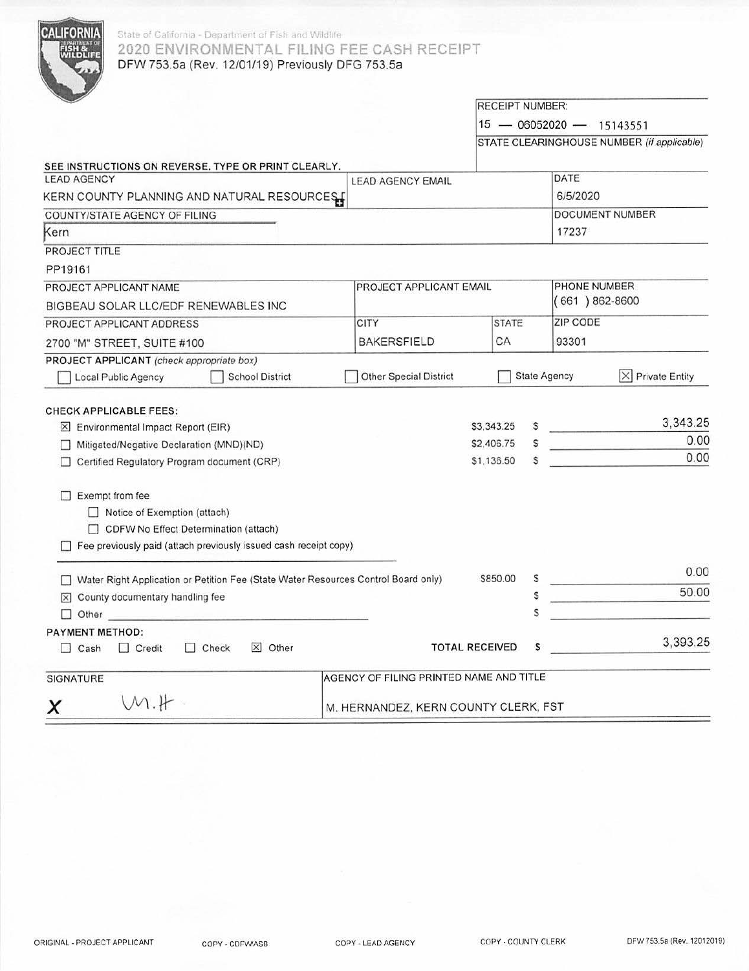

## State of California - Department of Fish and Wildhfe 2020 ENVIRONMENTAL FILING FEE CASH RECEIPT DFW 753.5a (Rev. 12/01/19) Previously DFG 753.5a

|                                                                                                                                                                                                                                |                                         |                          | <b>RECEIPT NUMBER:</b> |                          |                                            |
|--------------------------------------------------------------------------------------------------------------------------------------------------------------------------------------------------------------------------------|-----------------------------------------|--------------------------|------------------------|--------------------------|--------------------------------------------|
|                                                                                                                                                                                                                                |                                         |                          |                        | 15 - 06052020 - 15143551 |                                            |
|                                                                                                                                                                                                                                |                                         |                          |                        |                          | STATE CLEARINGHOUSE NUMBER (if applicable) |
| SEE INSTRUCTIONS ON REVERSE. TYPE OR PRINT CLEARLY.                                                                                                                                                                            |                                         |                          |                        |                          |                                            |
| <b>LEAD AGENCY</b>                                                                                                                                                                                                             | <b>LEAD AGENCY EMAIL</b>                |                          |                        | DATE                     |                                            |
| KERN COUNTY PLANNING AND NATURAL RESOURCES                                                                                                                                                                                     |                                         |                          |                        | 6/5/2020                 |                                            |
| COUNTY/STATE AGENCY OF FILING                                                                                                                                                                                                  |                                         |                          |                        |                          | DOCUMENT NUMBER                            |
| Kern                                                                                                                                                                                                                           |                                         |                          |                        | 17237                    |                                            |
| PROJECT TITLE                                                                                                                                                                                                                  |                                         |                          |                        |                          |                                            |
| PP19161                                                                                                                                                                                                                        |                                         |                          |                        |                          |                                            |
| PROJECT APPLICANT NAME                                                                                                                                                                                                         | PROJECT APPLICANT EMAIL                 |                          |                        | PHONE NUMBER             |                                            |
| BIGBEAU SOLAR LLC/EDF RENEWABLES INC                                                                                                                                                                                           |                                         |                          |                        | $(661)862-8600$          |                                            |
| PROJECT APPLICANT ADDRESS                                                                                                                                                                                                      | <b>CITY</b>                             | <b>STATE</b>             |                        | ZIP CODE                 |                                            |
| 2700 "M" STREET, SUITE #100                                                                                                                                                                                                    | <b>BAKERSFIELD</b>                      | СA                       |                        | 93301                    |                                            |
| PROJECT APPLICANT (check appropriate box)                                                                                                                                                                                      |                                         |                          |                        |                          |                                            |
| Local Public Agency<br><b>School District</b>                                                                                                                                                                                  | <b>Other Special District</b>           |                          | <b>State Agency</b>    |                          | $ \times $ Private Entity                  |
| <b>CHECK APPLICABLE FEES:</b><br>$[\times]$ Environmental Impact Report (EIR)<br>Mitigated/Negative Declaration (MND)(ND)                                                                                                      |                                         | \$3,343.25<br>\$2,406.75 | s                      | and the company of       | 3,343.25<br>0.00                           |
| Certified Regulatory Program document (CRP)                                                                                                                                                                                    |                                         | \$1,136.50               | \$                     |                          | 0.00                                       |
| $\Box$ Exempt from fee<br>Notice of Exemption (attach)<br>CDFW No Effect Determination (attach)<br>Fee previously paid (attach previously issued cash receipt copy)                                                            |                                         |                          |                        |                          |                                            |
| □ Water Right Application or Petition Fee (State Water Resources Control Board only)                                                                                                                                           |                                         | \$850.00                 |                        | <u>المناسب المستحدث</u>  | 0.00                                       |
| $\boxtimes$ County documentary handling fee                                                                                                                                                                                    |                                         |                          | s                      |                          | 50.00                                      |
| Other Communication of the Communication of the Communication of the Communication of the Communication of the Communication of the Communication of the Communication of the Communication of the Communication of the Commun |                                         |                          | Ś                      |                          |                                            |
| PAYMENT METHOD:                                                                                                                                                                                                                |                                         |                          |                        |                          |                                            |
| $\times$ Other<br>$\Box$ Check<br>$\Box$ Cash<br>$\Box$ Credit                                                                                                                                                                 |                                         | <b>TOTAL RECEIVED</b>    | \$                     |                          | 3,393.25                                   |
| <b>SIGNATURE</b>                                                                                                                                                                                                               | AGENCY OF FILING PRINTED NAME AND TITLE |                          |                        |                          |                                            |
| $M.H$ .<br>x                                                                                                                                                                                                                   | M. HERNANDEZ, KERN COUNTY CLERK, FST    |                          |                        |                          |                                            |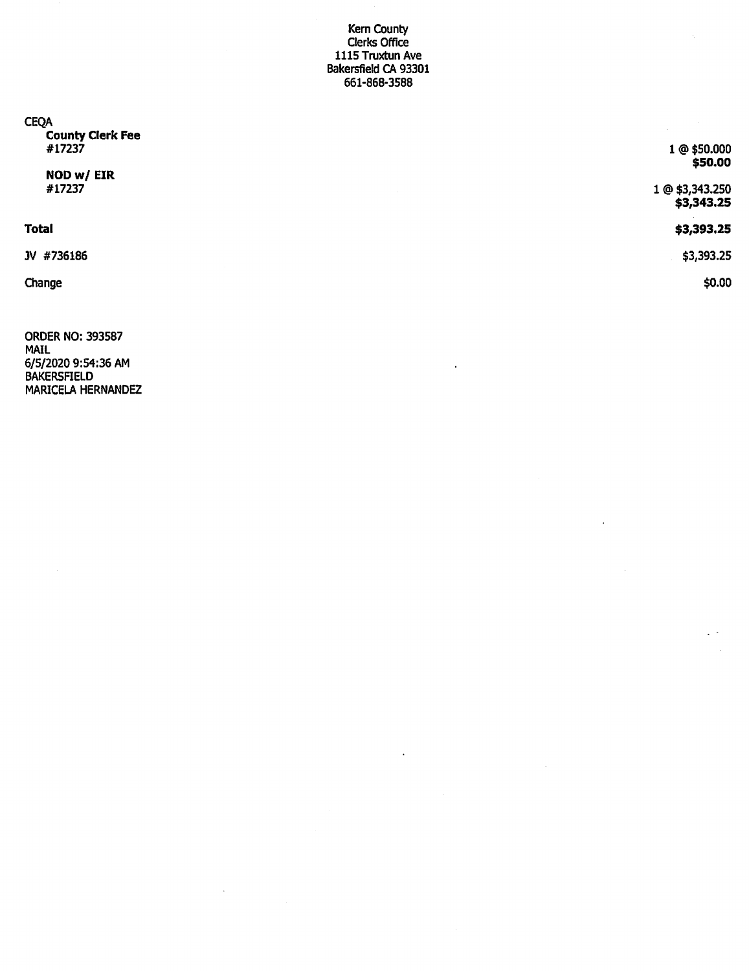## Kern County Clerks Office 1115 Truxtun Ave **Bakersfield CA 93301 661-868-3588**

| <b>CEQA</b><br><b>County Clerk Fee</b><br>#17237<br>NOD w/ EIR | 1 @ \$50.000<br>\$50.00       |
|----------------------------------------------------------------|-------------------------------|
| #17237                                                         | 1 @ \$3,343.250<br>\$3,343.25 |
| <b>Total</b>                                                   | \$3,393.25                    |
| JV #736186                                                     | \$3,393.25                    |
| Change                                                         | \$0.00                        |

ORDER NO: 393587 MAIL 6/5/2020 9:54:36 AM BAKERSFIELD MARICELA HERNANDEZ